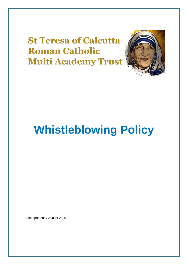**St Teresa of Calcutta Roman Catholic Multi Academy Trust** 



# **Whistleblowing Policy**

Last updated: 7 August 2020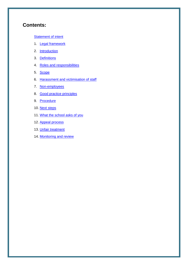## **Contents:**

#### **[Statement of intent](#page-2-0)**

- 1. [Legal framework](#page-3-0)
- 2. [Introduction](#page-3-1)
- 3. [Definitions](#page-4-0)
- 4. Roles [and responsibilities](#page-4-1)
- 5. [Scope](#page-5-0)
- 6. [Harassment and victimisation of staff](#page-6-0)
- 7. [Non-employees](#page-6-1)
- 8. [Good practice principles](#page-7-0)
- 9. [Procedure](#page-8-0)
- 10. [Next steps](#page-9-0)
- 11. [What the school asks of you](#page-10-0)
- 12. [Appeal process](#page-10-1)
- 13. [Unfair treatment](#page-10-2)
- 14. [Monitoring and review](#page-11-0)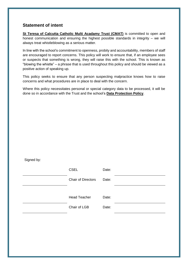## <span id="page-2-0"></span>**Statement of intent**

**St Teresa of Calcutta Catholic Multi Acadamy Trust (CMAT)** is committed to open and honest communication and ensuring the highest possible standards in integrity – we will always treat whistleblowing as a serious matter.

In line with the school's commitment to openness, probity and accountability, members of staff are encouraged to report concerns. This policy will work to ensure that, if an employee sees or suspects that something is wrong, they will raise this with the school. This is known as "blowing the whistle" – a phrase that is used throughout this policy and should be viewed as a positive action of speaking up.

This policy seeks to ensure that any person suspecting malpractice knows how to raise concerns and what procedures are in place to deal with the concern.

Where this policy necessitates personal or special category data to be processed, it will be done so in accordance with the Trust and the school's **Data Protection Policy**.

Signed by:

| <b>CSEL</b>               | Date: |  |
|---------------------------|-------|--|
| <b>Chair of Directors</b> | Date: |  |
|                           |       |  |
| <b>Head Teacher</b>       | Date: |  |
| Chair of LGB              | Date: |  |
|                           |       |  |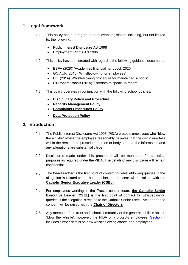## <span id="page-3-0"></span>**1. Legal framework**

- This policy has due regard to all relevant legislation including, but not limited  $1.1.$ to, the following:
	- Public Interest Disclosure Act 1998
	- Employment Rights Act 1996
- $1.2.$ This policy has been created with regard to the following guidance documents:
	- ESFA (2020) 'Academies financial handbook 2020'
	- GOV.UK (2015) 'Whistleblowing for employees'
	- DfE (2014) 'Whistleblowing procedure for maintained schools'
	- Sir Robert Francis (2015) 'Freedom to speak up report'
- 1.3. This policy operates in conjunction with the following school policies:
	- **Disciplinary Policy and Procedure**
	- **Records Management Policy**
	- **Complaints Procedures Policy**
	- **Data Protection Policy**

#### <span id="page-3-1"></span>**2. Introduction**

- $2.1$ The Public Interest Disclosure Act 1998 (PIDA) protects employees who "blow the whistle" where the employee reasonably believes that the disclosure falls within the remit of the prescribed person or body and that the information and any allegations are substantially true.
- $2.2.$ Disclosures made under this procedure will be monitored for statistical purposes as required under the PIDA. The details of any disclosure will remain confidential.
- $2.3.$ The **headteacher** is the first point of contact for whistleblowing queries. If the allegation is related to the headteacher, the concern will be raised with the **Catholic Senior Executive Leader (CSEL)**.
- $2.4.$ For employees working in the Trust's central team, **the Catholic Senior Executive Leader (CSEL)** is the first point of contact for whistleblowing queries. If the allegation is related to the Catholic Senior Executive Leader, the concern will be raised with the **Chair of Directors**
- $2.5.$ Any member of the trust and school community or the general public is able to "blow the whistle"; however, the PIDA only protects employees. [Section 7](#page-6-1) includes further details on how whistleblowing affects non-employees.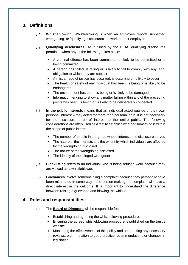## <span id="page-4-0"></span>**3. Definitions**

- $3.1$ **Whistleblowing:** Whistleblowing is when an employee reports suspected wrongdoing, or 'qualifying disclosures', at work to their employer.
- <span id="page-4-2"></span> $3.2.$ **Qualifying disclosures:** As outlined by the PIDA, qualifying disclosures pertain to when any of the following takes place:
	- A criminal offence has been committed, is likely to be committed or is being committed
	- A person has failed, is failing or is likely to fail to comply with any legal obligation to which they are subject
	- A miscarriage of justice has occurred, is occurring or is likely to occur
	- The health or safety of any individual has been, is being or is likely to be endangered
	- The environment has been, is being or is likely to be damaged
	- Information tending to show any matter falling within any of the preceding points has been, is being or is likely to be deliberately concealed
- <span id="page-4-3"></span> $3.3.$ **In the public interests** means that an individual acted outside of their own personal interest – they acted for more than personal gain. It is not necessary for the disclosure to be of interest to the entire public. The following considerations are often used as a test to establish whether something is within the scope of public interest:
	- The number of people in the group whose interests the disclosure served
	- The nature of the interests and the extent by which individuals are affected by the wrongdoing disclosed
	- The nature of the wrongdoing disclosed
	- The identity of the alleged wrongdoer
- $3.4$ **Blacklisting** refers to an individual who is being refused work because they are viewed as a whistleblower.
- $3.5.$ **Grievances** involve someone filing a complaint because they personally have been mistreated in some way – the person making the complaint will have a direct interest in the outcome. It is important to understand the difference between raising a grievance and blowing the whistle.

#### <span id="page-4-1"></span>**4. Roles and responsibilities:**

- $4.1$ The **Board of Directors** will be responsible for:
	- Establishing and agreeing the whistleblowing procedure.
	- Ensuring the agreed whistleblowing procedure is published on the trust's website.
	- Monitoring the effectiveness of this policy and undertaking any necessary reviews, e.g. in relation to good practice recommendations or changes in legislation.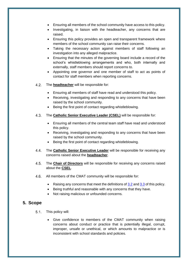- Ensuring all members of the school community have access to this policy.
- Investigating, in liaison with the headteacher, any concerns that are raised.
- Ensuring this policy provides an open and transparent framework where members of the school community can raise their concerns.
- Taking the necessary action against members of staff following an investigation into any alleged malpractice.
- Ensuring that the minutes of the governing board include a record of the school's whistleblowing arrangements and who, both internally and externally, staff members should report concerns to.
- Appointing one governor and one member of staff to act as points of contact for staff members when reporting concerns.
- $4.2<sub>1</sub>$ The **headteacher** will be responsible for:
	- Ensuring all members of staff have read and understood this policy.
	- Receiving, investigating and responding to any concerns that have been raised by the school community.
	- Being the first point of contact regarding whistleblowing.
- $4.3.$ The **Catholic Senior Executive Leader (CSEL)** will be responsible for:
	- Ensuring all members of the central team staff have read and understood this policy.
	- Receiving, investigating and responding to any concerns that have been raised by the school community.
	- Being the first point of contact regarding whistleblowing.
- $4.4$ The **Catholic Senior Executive Leader** will be responsible for receiving any concerns raised about the **headteacher**.
- $4.5.$ The **Chair of Directors** will be responsible for receiving any concerns raised about the **CSEL**.
- $4.6.$ All members of the CMAT community will be responsible for:
	- Raising any concerns that meet the definitions of  $3.2$  and  $3.3$  of this policy.
	- Being truthful and reasonable with any concerns that they have.
	- Not raising malicious or unfounded concerns.

#### <span id="page-5-0"></span>**5. Scope**

- $5.1.$ This policy will:
	- Give confidence to members of the CMAT community when raising concerns about conduct or practice that is potentially illegal, corrupt, improper, unsafe or unethical, or which amounts to malpractice or is inconsistent with school standards and policies.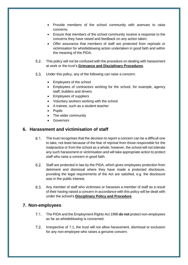- Provide members of the school community with avenues to raise concerns.
- Ensure that members of the school community receive a response to the concerns they have raised and feedback on any action taken.
- Offer assurance that members of staff are protected from reprisals or victimisation for whistleblowing action undertaken in good faith and within the meaning of the PIDA.
- $5.2.$ This policy will not be confused with the procedure on dealing with harassment at work or the trust's **Grievance and Disciplinary Procedures**.
- $5.3.$ Under this policy, any of the following can raise a concern:
	- Employees of the school
	- Employees of contractors working for the school, for example, agency staff, builders and drivers
	- Employees of suppliers
	- Voluntary workers working with the school
	- A trainee, such as a student teacher
	- Pupils
	- The wider community
	- **•** Governors

#### <span id="page-6-0"></span>**6. Harassment and victimisation of staff**

- $6.1.$ The trust recognises that the decision to report a concern can be a difficult one to take, not least because of the fear of reprisal from those responsible for the malpractice or from the school as a whole; however, the school will not tolerate any such harassment or victimisation and will take appropriate action to protect staff who raise a concern in good faith.
- $6.2.$ Staff are protected in law by the PIDA, which gives employees protection from detriment and dismissal where they have made a protected disclosure, providing the legal requirements of the Act are satisfied, e.g. the disclosure was in the public interest.
- $6.3.$ Any member of staff who victimises or harasses a member of staff as a result of their having raised a concern in accordance with this policy will be dealt with under the school's **Disciplinary Policy and Procedure**.

#### <span id="page-6-1"></span>**7. Non-employees**

- $7.1$ The PIDA and the Employment Rights Act 1996 **do not** protect non-employees as far as whistleblowing is concerned.
- $7.2$ Irrespective of 7.1, the trust will not allow harassment, dismissal or exclusion for any non-employee who raises a genuine concern.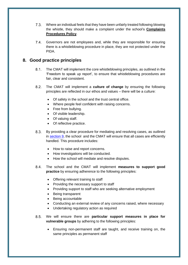- $7.3.$ Where an individual feels that they have been unfairly treated following blowing the whistle, they should make a complaint under the school's **Complaints Procedures Policy**.
- $7.4.$ Governors are not employees and, while they are responsible for ensuring there is a whistleblowing procedure in place, they are not protected under the PIDA.

## <span id="page-7-0"></span>**8. Good practice principles**

- $8.1.$ The CMAT will implement the core whistleblowing principles, as outlined in the 'Freedom to speak up report', to ensure that whistleblowing procedures are fair, clear and consistent.
- $8.2.$ The CMAT will implement a **culture of change** by ensuring the following principles are reflected in our ethos and values – there will be a culture:
	- Of safety in the school and the trust central office.
	- Where people feel confident with raising concerns.
	- Free from bullying.
	- Of visible leadership.
	- Of valuing staff.
	- Of reflective practice.
- $8.3.$ By providing a clear procedure for mediating and resolving cases, as outlined in [section 9,](#page-8-0) the school and the CMAT will ensure that all cases are efficiently handled. This procedure includes:
	- How to raise and report concerns.
	- How investigations will be conducted.
	- How the school will mediate and resolve disputes.
- The school and the CMAT will implement **measures to support good**   $8.4.$ **practice** by ensuring adherence to the following principles:
	- Offering relevant training to staff
	- Providing the necessary support to staff
	- Providing support to staff who are seeking alternative employment
	- Being transparent
	- Being accountable
	- Conducting an external review of any concerns raised, where necessary
	- Undertaking regulatory action as required
- $8.5.$ We will ensure there are **particular support measures in place for vulnerable groups** by adhering to the following principles:
	- Ensuring non-permanent staff are taught, and receive training on, the same principles as permanent staff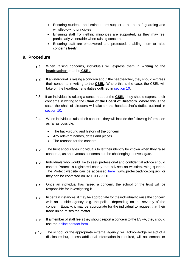- Ensuring students and trainees are subject to all the safeguarding and whistleblowing principles
- Ensuring staff from ethnic minorities are supported, as they may feel particularly vulnerable when raising concerns
- Ensuring staff are empowered and protected, enabling them to raise concerns freely

#### <span id="page-8-0"></span>**9. Procedure**

- $9.1.$ When raising concerns, individuals will express them in **writing** to the **headteacher** or to the **CSEL**.
- $9.2.$ If an individual is raising a concern about the headteacher, they should express their concerns in writing to the **CSEL**. Where this is the case, the CSEL will take on the headteacher's duties outlined in [section 10.](#page-9-0)
- 9.3. If an individual is raising a concern about the **CSEL**, they should express their concerns in writing to the **Chair of the Board of Directors.** Where this is the case, the chair of directors will take on the headteacher's duties outlined in section 10.
- When individuals raise their concern, they will include the following information as far as possible:
	- The background and history of the concern
	- Any relevant names, dates and places
	- The reasons for the concern
- $9.5.$ The trust encourages individuals to let their identity be known when they raise concerns, as anonymous concerns can be challenging to investigate.
- $9.6.$ Individuals who would like to seek professional and confidential advice should contact Protect, a registered charity that advises on whistleblowing queries. The Protect website can be accessed [here](https://www.protect-advice.org.uk/) (www.protect-advice.org.uk), or they can be contacted on 020 31172520.
- $9.7.$ Once an individual has raised a concern, the school or the trust will be responsible for investigating it.
- $9.8.$ In certain instances, it may be appropriate for the individual to raise the concern with an outside agency, e.g. the police, depending on the severity of the concern. Equally, it may be appropriate for the individual to request that their trade union raises the matter.
- 9.9. If a member of staff feels they should report a concern to the ESFA, they should use the [online contact form.](https://form.education.gov.uk/en/AchieveForms/?form_uri=sandbox-publish://AF-Process-f1453496-7d8a-463f-9f33-1da2ac47ed76/AF-Stage-1e64d4cc-25fb-499a-a8d7-74e98203ac00/definition.json&redirectlink=%2Fen&cancelRedirectLink=%2Fenm)
- The school, or the appropriate external agency, will acknowledge receipt of a disclosure but, unless additional information is required, will not contact or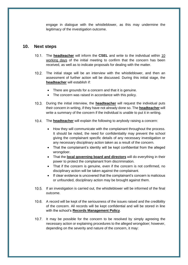engage in dialogue with the whistleblower, as this may undermine the legitimacy of the investigation outcome.

#### <span id="page-9-0"></span>**10. Next steps**

- The **headteacher** will inform the **CSEL** and write to the individual within 10 working days of the initial meeting to confirm that the concern has been received, as well as to indicate proposals for dealing with the matter.
- The initial stage will be an interview with the whistleblower, and then an assessment of further action will be discussed. During this initial stage, the **headteacher** will establish if:
	- There are grounds for a concern and that it is genuine.
	- The concern was raised in accordance with this policy.
- During the initial interview, the **headteacher** will request the individual puts their concern in writing, if they have not already done so. The **headteacher** will write a summary of the concern if the individual is unable to put it in writing.
- The **headteacher** will explain the following to anybody raising a concern:
	- How they will communicate with the complainant throughout the process. It should be noted, the need for confidentiality may prevent the school giving the complainant specific details of any necessary investigation or any necessary disciplinary action taken as a result of the concern.
	- That the complainant's identity will be kept confidential from the alleged wrongdoer.
	- That the **local governing board and directors** will do everything in their power to protect the complainant from discrimination.
	- That if the concern is genuine, even if the concern is not confirmed, no disciplinary action will be taken against the complainant.
	- If clear evidence is uncovered that the complainant's concern is malicious or unfounded, disciplinary action may be brought against them.
- 10.5. If an investigation is carried out, the whistleblower will be informed of the final outcome.
- 10.6. A record will be kept of the seriousness of the issues raised and the credibility of the concern. All records will be kept confidential and will be stored in line with the school's **Records Management Policy**.
- 10.7. It may be possible for the concern to be resolved by simply agreeing the necessary action or explaining procedures to the alleged wrongdoer; however, depending on the severity and nature of the concern, it may: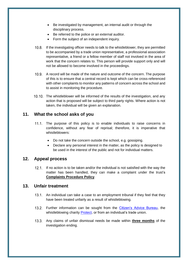- Be investigated by management, an internal audit or through the disciplinary process.
- Be referred to the police or an external auditor.
- Form the subject of an independent inquiry.
- If the investigating officer needs to talk to the whistleblower, they are permitted to be accompanied by a trade union representative, a professional association representative, a friend or a fellow member of staff not involved in the area of work that the concern relates to. This person will provide support only and will not be allowed to become involved in the proceedings.
- 10.9. A record will be made of the nature and outcome of the concern. The purpose of this is to ensure that a central record is kept which can be cross-referenced with other complaints to monitor any patterns of concern across the school and to assist in monitoring the procedure.
- 10.10. The whistleblower will be informed of the results of the investigation, and any action that is proposed will be subject to third party rights. Where action is not taken, the individual will be given an explanation.

#### <span id="page-10-0"></span>**11. What the school asks of you**

- 11.1. The purpose of this policy is to enable individuals to raise concerns in confidence, without any fear of reprisal; therefore, it is imperative that whistleblowers:
	- Do not take the concern outside the school, e.g. gossiping.
	- Declare any personal interest in the matter, as the policy is designed to be used in the interest of the public and not for individual matters.

#### <span id="page-10-1"></span>**12. Appeal process**

12.1. If no action is to be taken and/or the individual is not satisfied with the way the matter has been handled, they can make a complaint under the trust's **Complaints Procedure Policy**.

#### <span id="page-10-2"></span>**13. Unfair treatment**

- 13.1. An individual can take a case to an employment tribunal if they feel that they have been treated unfairly as a result of whistleblowing.
- 13.2. Further information can be sought from the [Citizen's Advice Bureau,](https://www.citizensadvice.org.uk/) the whistleblowing charity [Protect,](https://protect-advice.org.uk/) or from an individual's trade union.
- Any claims of unfair dismissal needs be made within **three months** of the investigation ending.